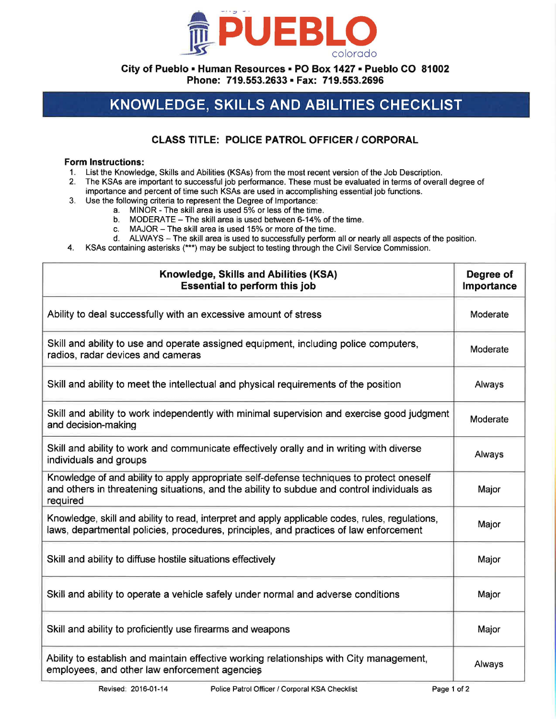

**City of Pueblo• Human Resources• PO Box 1427 • Pueblo CO 81002 Phone: 719.553.2633 • Fax: 719.553.2696** 

## **KNOWLEDGE, SKILLS AND ABILITIES CHECKLIST**

## **CLASS TITLE: POLICE PATROL OFFICER I CORPORAL**

## **Form Instructions:**

- 1. List the Knowledge, Skills and Abilities (KSAs) from the most recent version of the Job Description.
- 2. The KSAs are important to successful job performance. These must be evaluated in terms of overall degree of importance and percent of time such KSAs are used in accomplishing essential job functions.
- 3. Use the following criteria to represent the Degree of Importance:
	- a. MINOR The skill area is used 5% or less of the time.
	- b. MODERATE The skill area is used between 6-14% of the time.
	- c. MAJOR The skill area is used 15% or more of the time.
	- d. ALWAYS The skill area is used to successfully perform all or nearly all aspects of the position.
- 4. KSAs containing asterisks (\*\*\*) may be subject to testing through the Civil Service Commission.

| Knowledge, Skills and Abilities (KSA)<br><b>Essential to perform this job</b>                                                                                                                      | Degree of<br>Importance |
|----------------------------------------------------------------------------------------------------------------------------------------------------------------------------------------------------|-------------------------|
| Ability to deal successfully with an excessive amount of stress                                                                                                                                    | Moderate                |
| Skill and ability to use and operate assigned equipment, including police computers,<br>radios, radar devices and cameras                                                                          | Moderate                |
| Skill and ability to meet the intellectual and physical requirements of the position                                                                                                               | Always                  |
| Skill and ability to work independently with minimal supervision and exercise good judgment<br>and decision-making                                                                                 | Moderate                |
| Skill and ability to work and communicate effectively orally and in writing with diverse<br>individuals and groups                                                                                 | Always                  |
| Knowledge of and ability to apply appropriate self-defense techniques to protect oneself<br>and others in threatening situations, and the ability to subdue and control individuals as<br>required | Major                   |
| Knowledge, skill and ability to read, interpret and apply applicable codes, rules, regulations,<br>laws, departmental policies, procedures, principles, and practices of law enforcement           | Major                   |
| Skill and ability to diffuse hostile situations effectively                                                                                                                                        | Major                   |
| Skill and ability to operate a vehicle safely under normal and adverse conditions                                                                                                                  | Major                   |
| Skill and ability to proficiently use firearms and weapons                                                                                                                                         | Major                   |
| Ability to establish and maintain effective working relationships with City management,<br>employees, and other law enforcement agencies                                                           | Always                  |